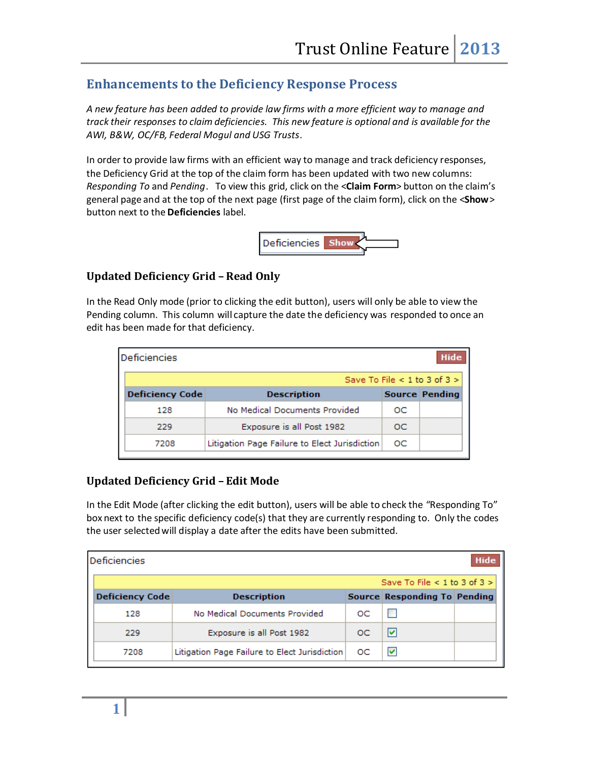# **Enhancements to the Deficiency Response Process**

*A new feature has been added to provide law firms with a more efficient way to manage and track their responses to claim deficiencies. This new feature is optional and is available for the AWI, B&W, OC/FB, Federal Mogul and USG Trusts.*

In order to provide law firms with an efficient way to manage and track deficiency responses, the Deficiency Grid at the top of the claim form has been updated with two new columns: *Responding To* and *Pending*. To view this grid, click on the <**Claim Form**> button on the claim's general page and at the top of the next page (first page of the claim form), click on the <**Show**> button next to the **Deficiencies** label.



## **Updated Deficiency Grid – Read Only**

In the Read Only mode (prior to clicking the edit button), users will only be able to view the Pending column. This column will capture the date the deficiency was responded to once an edit has been made for that deficiency.

| <b>Deficiencies</b>    |                                               |    | Hide                             |
|------------------------|-----------------------------------------------|----|----------------------------------|
|                        |                                               |    | Save To File $< 1$ to 3 of 3 $>$ |
| <b>Deficiency Code</b> | <b>Description</b>                            |    | Source Pending                   |
| 128                    | No Medical Documents Provided                 | oс |                                  |
| 229                    | Exposure is all Post 1982                     | OС |                                  |
| 7208                   | Litigation Page Failure to Elect Jurisdiction | oс |                                  |

## **Updated Deficiency Grid – Edit Mode**

In the Edit Mode (after clicking the edit button), users will be able to check the "Responding To" box next to the specific deficiency code(s) that they are currently responding to. Only the codes the user selected will display a date after the edits have been submitted.

| Deficiencies           |                                               |    |                              | Hide |
|------------------------|-----------------------------------------------|----|------------------------------|------|
|                        |                                               |    | Save To File < 1 to 3 of 3 > |      |
| <b>Deficiency Code</b> | <b>Description</b>                            |    | Source Responding To Pending |      |
| 128                    | No Medical Documents Provided                 | oс |                              |      |
| 229                    | Exposure is all Post 1982                     | ЮC | M                            |      |
| 7208                   | Litigation Page Failure to Elect Jurisdiction | OС | ⊵                            |      |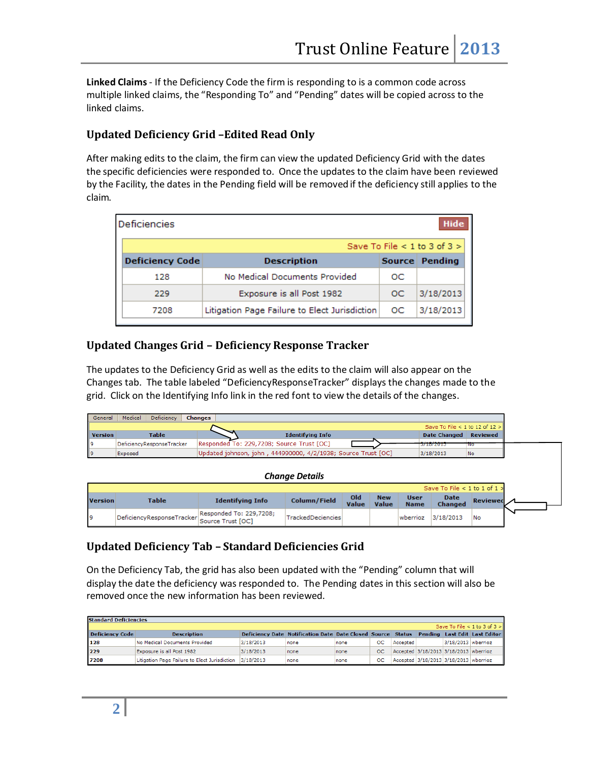**Linked Claims**- If the Deficiency Code the firm is responding to is a common code across multiple linked claims, the "Responding To" and "Pending" dates will be copied across to the linked claims.

# **Updated Deficiency Grid –Edited Read Only**

After making edits to the claim, the firm can view the updated Deficiency Grid with the dates the specific deficiencies were responded to. Once the updates to the claim have been reviewed by the Facility, the dates in the Pending field will be removed if the deficiency still applies to the claim.

| <b>Deficiencies</b><br>Hide |                                               |               |                              |  |  |  |  |  |
|-----------------------------|-----------------------------------------------|---------------|------------------------------|--|--|--|--|--|
|                             |                                               |               | Save To File < 1 to 3 of 3 > |  |  |  |  |  |
| <b>Deficiency Code</b>      | <b>Description</b>                            | <b>Source</b> | Pending                      |  |  |  |  |  |
| 128                         | No Medical Documents Provided                 | OС            |                              |  |  |  |  |  |
| 229                         | Exposure is all Post 1982                     | OC.           | 3/18/2013                    |  |  |  |  |  |
| 7208                        | Litigation Page Failure to Elect Jurisdiction | oс            | 3/18/2013                    |  |  |  |  |  |

#### **Updated Changes Grid – Deficiency Response Tracker**

The updates to the Deficiency Grid as well as the edits to the claim will also appear on the Changes tab. The table labeled "DeficiencyResponseTracker" displays the changes made to the grid. Click on the Identifying Info link in the red font to view the details of the changes.

|      | General        | Deficiency<br>Medical     | Changes                                                       |                                     |            |
|------|----------------|---------------------------|---------------------------------------------------------------|-------------------------------------|------------|
|      |                |                           |                                                               | Save To File < 1 to 12 of $12 >$    |            |
|      | <b>Version</b> | <b>Table</b>              | <b>Identifying Info</b>                                       | <b>Date Changed</b>                 | Reviewed   |
| ll 9 |                | DeficiencyResponseTracker | Responded To: 229,7208; Source Trust [OC]                     | B1101010010<br>1 <i>31</i> 107 2013 | <b>IVO</b> |
|      | 9              | Exposed                   | Updated johnson, john, 444990000, 4/2/1938; Source Trust [OC] | 3/18/2013                           | No         |

|                | <b>Change Details</b> |                         |                   |              |                     |                            |                                        |            |  |
|----------------|-----------------------|-------------------------|-------------------|--------------|---------------------|----------------------------|----------------------------------------|------------|--|
|                |                       |                         |                   |              |                     |                            | Save To File $\leq 1$ to 1 of 1 $\geq$ |            |  |
| <b>Version</b> | <b>Table</b>          | <b>Identifying Info</b> | Column/Field      | Old<br>Value | <b>New</b><br>Value | <b>User</b><br><b>Name</b> | <b>Date</b><br><b>Changed</b>          | Reviewed / |  |
|                |                       | Responded To: 229,7208; | TrackedDeciencies |              |                     | wberrioz                   | 3/18/2013                              | <b>No</b>  |  |

## **Updated Deficiency Tab – Standard Deficiencies Grid**

On the Deficiency Tab, the grid has also been updated with the "Pending" column that will display the date the deficiency was responded to. The Pending dates in this section will also be removed once the new information has been reviewed.

| <b>Standard Deficiencies</b> |                                               |           |                                                                     |      |             |          |  |                                         |                                    |
|------------------------------|-----------------------------------------------|-----------|---------------------------------------------------------------------|------|-------------|----------|--|-----------------------------------------|------------------------------------|
|                              |                                               |           |                                                                     |      |             |          |  |                                         | Save To File $< 1$ to 3 of $3 > 1$ |
| Deficiency Code              | <b>Description</b>                            |           | Deficiency Date Notification Date Date Closed Source Status Pending |      |             |          |  |                                         | Last Edit Last Editor              |
| 128                          | No Medical Documents Provided                 | 3/18/2013 | Inone                                                               | none | $_{\rm oc}$ | Accepted |  | 3/18/2013 wberrioz                      |                                    |
| 229                          | Exposure is all Post 1982                     | 3/18/2013 | Inone                                                               | none | $_{\rm oc}$ |          |  | Accepted 3/18/2013 3/18/2013   wberrioz |                                    |
| 7208                         | Litigation Page Failure to Elect Jurisdiction | 3/18/2013 | none                                                                | none | OC          |          |  | Accepted 3/18/2013 3/18/2013   wberrioz |                                    |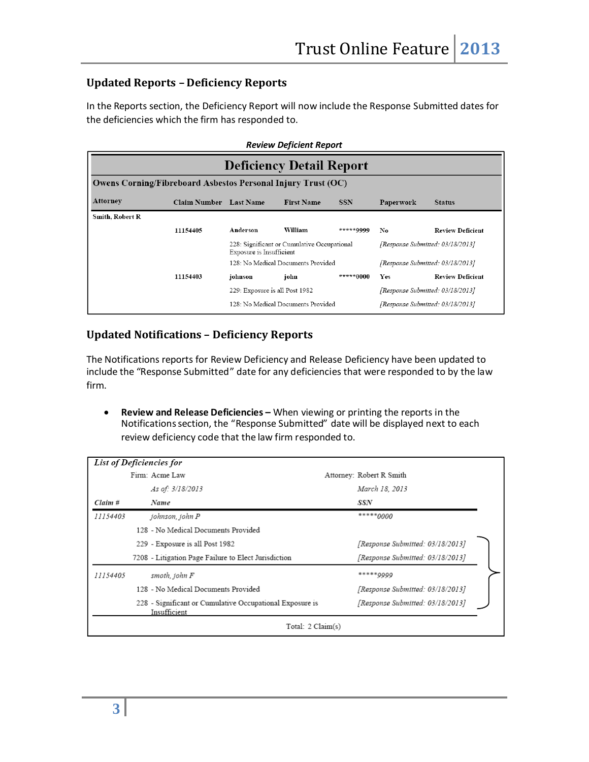# **Updated Reports – Deficiency Reports**

In the Reports section, the Deficiency Report will now include the Response Submitted dates for the deficiencies which the firm has responded to.

|                                 | <b>Review Deficient Report</b>                                      |                                |                                             |            |                                  |                         |  |  |
|---------------------------------|---------------------------------------------------------------------|--------------------------------|---------------------------------------------|------------|----------------------------------|-------------------------|--|--|
| <b>Deficiency Detail Report</b> |                                                                     |                                |                                             |            |                                  |                         |  |  |
|                                 | <b>Owens Corning/Fibreboard Asbestos Personal Injury Trust (OC)</b> |                                |                                             |            |                                  |                         |  |  |
| Attorney                        | <b>Claim Number</b> Last Name                                       |                                | <b>First Name</b>                           | <b>SSN</b> | Paperwork                        | <b>Status</b>           |  |  |
| Smith, Robert R                 |                                                                     |                                |                                             |            |                                  |                         |  |  |
|                                 | 11154405                                                            | Anderson                       | William                                     | *****0000  | No                               | <b>Review Deficient</b> |  |  |
|                                 |                                                                     | Exposure is Insufficient       | 228: Significant or Cumulative Occupational |            | [Response Submitted: 03/18/2013] |                         |  |  |
|                                 |                                                                     |                                | 128: No Medical Documents Provided          |            | [Response Submitted: 03/18/2013] |                         |  |  |
|                                 | 11154403                                                            | johnson                        | john                                        | *****0000  | <b>Yes</b>                       | <b>Review Deficient</b> |  |  |
|                                 |                                                                     | 229: Exposure is all Post 1982 |                                             |            | [Response Submitted: 03/18/2013] |                         |  |  |
|                                 |                                                                     |                                | 128: No Medical Documents Provided          |            | [Response Submitted: 03/18/2013] |                         |  |  |

# **Updated Notifications – Deficiency Reports**

The Notifications reports for Review Deficiency and Release Deficiency have been updated to include the "Response Submitted" date for any deficiencies that were responded to by the law firm.

 **Review and Release Deficiencies –** When viewing or printing the reports in the Notificationssection, the "Response Submitted" date will be displayed next to each review deficiency code that the law firm responded to.

|          | List of Deficiencies for                                                 |                                  |
|----------|--------------------------------------------------------------------------|----------------------------------|
|          | Firm: Acme Law                                                           | Attorney: Robert R Smith         |
|          | As of: 3/18/2013                                                         | March 18, 2013                   |
| Claim #  | Name                                                                     | SSN                              |
| 11154403 | johnson, john P                                                          | $****0000$                       |
|          | 128 - No Medical Documents Provided                                      |                                  |
|          | 229 - Exposure is all Post 1982                                          | [Response Submitted: 03/18/2013] |
|          | 7208 - Litigation Page Failure to Elect Jurisdiction                     | [Response Submitted: 03/18/2013] |
| 11154405 | smoth, john F                                                            | ***** 9999                       |
|          | 128 - No Medical Documents Provided                                      | [Response Submitted: 03/18/2013] |
|          | 228 - Significant or Cumulative Occupational Exposure is<br>Insufficient | [Response Submitted: 03/18/2013] |
|          | Total: 2 Claim(s)                                                        |                                  |